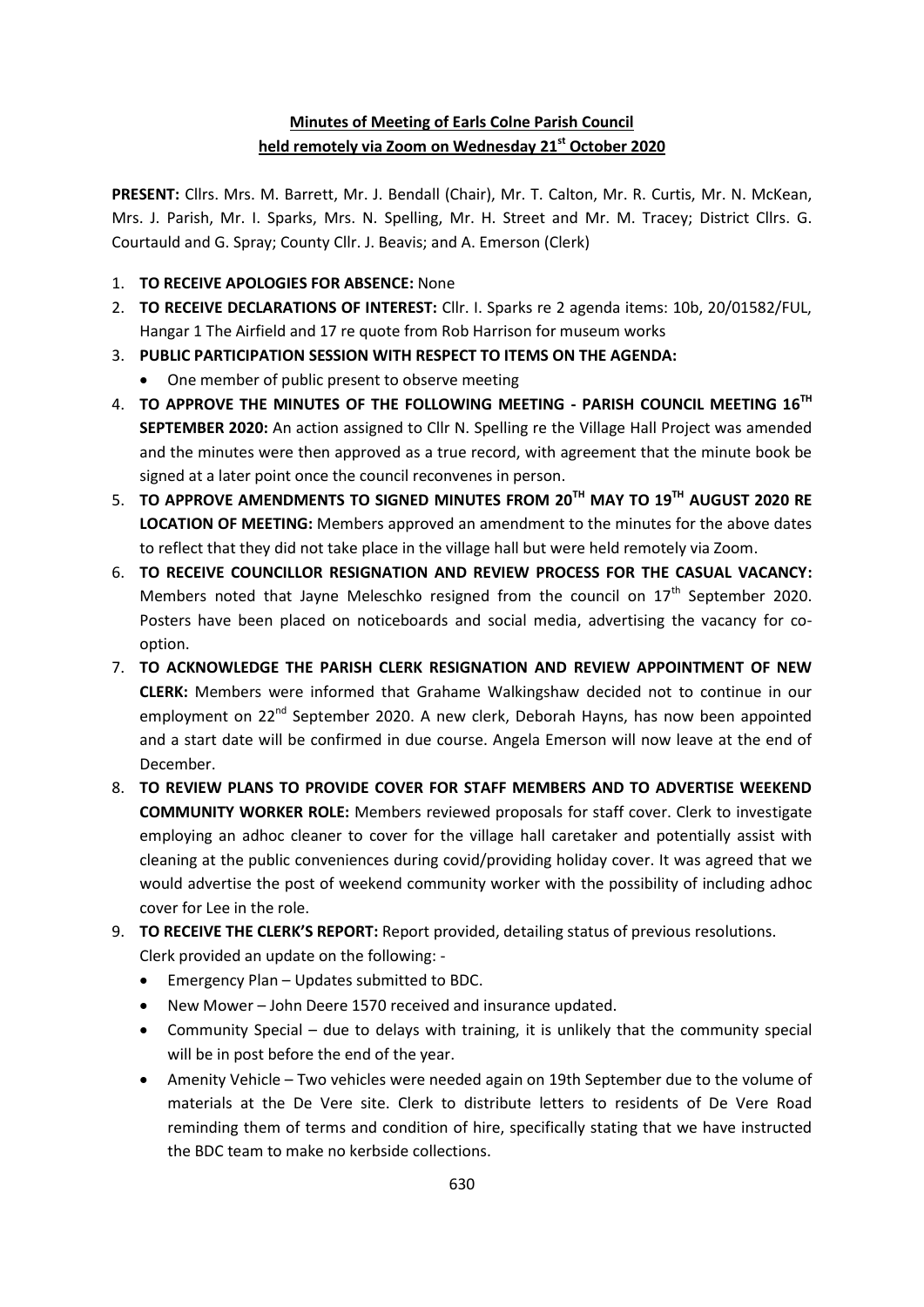## **Minutes of Meeting of Earls Colne Parish Council held remotely via Zoom on Wednesday 21st October 2020**

**PRESENT:** Cllrs. Mrs. M. Barrett, Mr. J. Bendall (Chair), Mr. T. Calton, Mr. R. Curtis, Mr. N. McKean, Mrs. J. Parish, Mr. I. Sparks, Mrs. N. Spelling, Mr. H. Street and Mr. M. Tracey; District Cllrs. G. Courtauld and G. Spray; County Cllr. J. Beavis; and A. Emerson (Clerk)

- 1. **TO RECEIVE APOLOGIES FOR ABSENCE:** None
- 2. **TO RECEIVE DECLARATIONS OF INTEREST:** Cllr. I. Sparks re 2 agenda items: 10b, 20/01582/FUL, Hangar 1 The Airfield and 17 re quote from Rob Harrison for museum works
- 3. **PUBLIC PARTICIPATION SESSION WITH RESPECT TO ITEMS ON THE AGENDA:**
	- One member of public present to observe meeting
- 4. **TO APPROVE THE MINUTES OF THE FOLLOWING MEETING - PARISH COUNCIL MEETING 16TH SEPTEMBER 2020:** An action assigned to Cllr N. Spelling re the Village Hall Project was amended and the minutes were then approved as a true record, with agreement that the minute book be signed at a later point once the council reconvenes in person.
- 5. **TO APPROVE AMENDMENTS TO SIGNED MINUTES FROM 20TH MAY TO 19TH AUGUST 2020 RE LOCATION OF MEETING:** Members approved an amendment to the minutes for the above dates to reflect that they did not take place in the village hall but were held remotely via Zoom.
- 6. **TO RECEIVE COUNCILLOR RESIGNATION AND REVIEW PROCESS FOR THE CASUAL VACANCY:** Members noted that Jayne Meleschko resigned from the council on 17<sup>th</sup> September 2020. Posters have been placed on noticeboards and social media, advertising the vacancy for cooption.
- 7. **TO ACKNOWLEDGE THE PARISH CLERK RESIGNATION AND REVIEW APPOINTMENT OF NEW CLERK:** Members were informed that Grahame Walkingshaw decided not to continue in our employment on 22<sup>nd</sup> September 2020. A new clerk, Deborah Hayns, has now been appointed and a start date will be confirmed in due course. Angela Emerson will now leave at the end of December.
- 8. **TO REVIEW PLANS TO PROVIDE COVER FOR STAFF MEMBERS AND TO ADVERTISE WEEKEND COMMUNITY WORKER ROLE:** Members reviewed proposals for staff cover. Clerk to investigate employing an adhoc cleaner to cover for the village hall caretaker and potentially assist with cleaning at the public conveniences during covid/providing holiday cover. It was agreed that we would advertise the post of weekend community worker with the possibility of including adhoc cover for Lee in the role.
- 9. **TO RECEIVE THE CLERK'S REPORT:** Report provided, detailing status of previous resolutions. Clerk provided an update on the following: -
	- Emergency Plan Updates submitted to BDC.
	- New Mower John Deere 1570 received and insurance updated.
	- Community Special due to delays with training, it is unlikely that the community special will be in post before the end of the year.
	- Amenity Vehicle Two vehicles were needed again on 19th September due to the volume of materials at the De Vere site. Clerk to distribute letters to residents of De Vere Road reminding them of terms and condition of hire, specifically stating that we have instructed the BDC team to make no kerbside collections.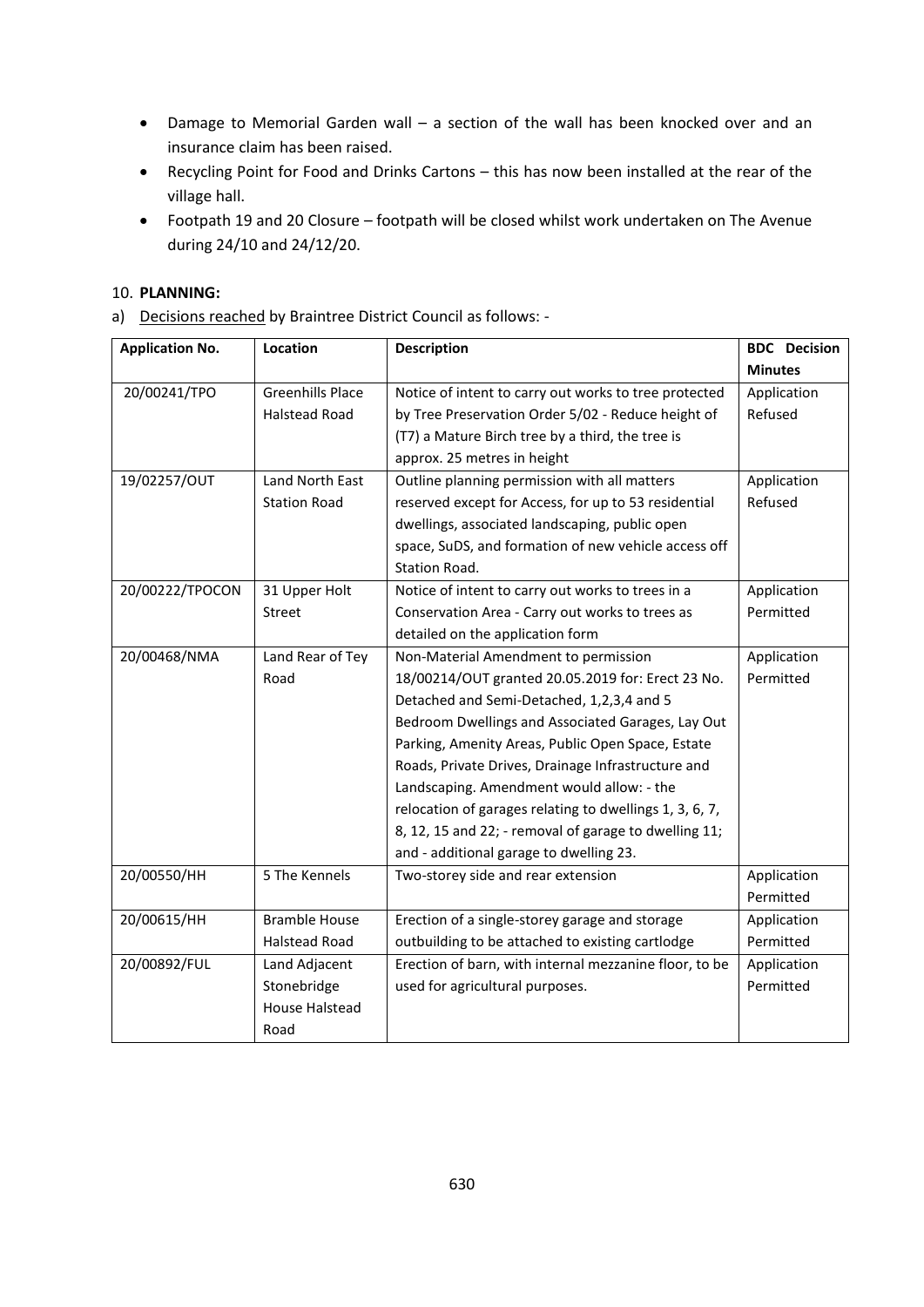- Damage to Memorial Garden wall a section of the wall has been knocked over and an insurance claim has been raised.
- Recycling Point for Food and Drinks Cartons this has now been installed at the rear of the village hall.
- Footpath 19 and 20 Closure footpath will be closed whilst work undertaken on The Avenue during 24/10 and 24/12/20.

#### 10. **PLANNING:**

a) Decisions reached by Braintree District Council as follows: -

| <b>Application No.</b> | Location                | <b>Description</b>                                      | <b>BDC</b> Decision |
|------------------------|-------------------------|---------------------------------------------------------|---------------------|
|                        |                         |                                                         | <b>Minutes</b>      |
| 20/00241/TPO           | <b>Greenhills Place</b> | Notice of intent to carry out works to tree protected   | Application         |
|                        | <b>Halstead Road</b>    | by Tree Preservation Order 5/02 - Reduce height of      | Refused             |
|                        |                         | (T7) a Mature Birch tree by a third, the tree is        |                     |
|                        |                         | approx. 25 metres in height                             |                     |
| 19/02257/OUT           | Land North East         | Outline planning permission with all matters            | Application         |
|                        | <b>Station Road</b>     | reserved except for Access, for up to 53 residential    | Refused             |
|                        |                         | dwellings, associated landscaping, public open          |                     |
|                        |                         | space, SuDS, and formation of new vehicle access off    |                     |
|                        |                         | Station Road.                                           |                     |
| 20/00222/TPOCON        | 31 Upper Holt           | Notice of intent to carry out works to trees in a       | Application         |
|                        | Street                  | Conservation Area - Carry out works to trees as         | Permitted           |
|                        |                         | detailed on the application form                        |                     |
| 20/00468/NMA           | Land Rear of Tey        | Non-Material Amendment to permission                    | Application         |
|                        | Road                    | 18/00214/OUT granted 20.05.2019 for: Erect 23 No.       | Permitted           |
|                        |                         | Detached and Semi-Detached, 1,2,3,4 and 5               |                     |
|                        |                         | Bedroom Dwellings and Associated Garages, Lay Out       |                     |
|                        |                         | Parking, Amenity Areas, Public Open Space, Estate       |                     |
|                        |                         | Roads, Private Drives, Drainage Infrastructure and      |                     |
|                        |                         | Landscaping. Amendment would allow: - the               |                     |
|                        |                         | relocation of garages relating to dwellings 1, 3, 6, 7, |                     |
|                        |                         | 8, 12, 15 and 22; - removal of garage to dwelling 11;   |                     |
|                        |                         | and - additional garage to dwelling 23.                 |                     |
| 20/00550/HH            | 5 The Kennels           | Two-storey side and rear extension                      | Application         |
|                        |                         |                                                         | Permitted           |
| 20/00615/HH            | <b>Bramble House</b>    | Erection of a single-storey garage and storage          | Application         |
|                        | <b>Halstead Road</b>    | outbuilding to be attached to existing cartlodge        | Permitted           |
| 20/00892/FUL           | Land Adjacent           | Erection of barn, with internal mezzanine floor, to be  | Application         |
|                        | Stonebridge             | used for agricultural purposes.                         | Permitted           |
|                        | <b>House Halstead</b>   |                                                         |                     |
|                        | Road                    |                                                         |                     |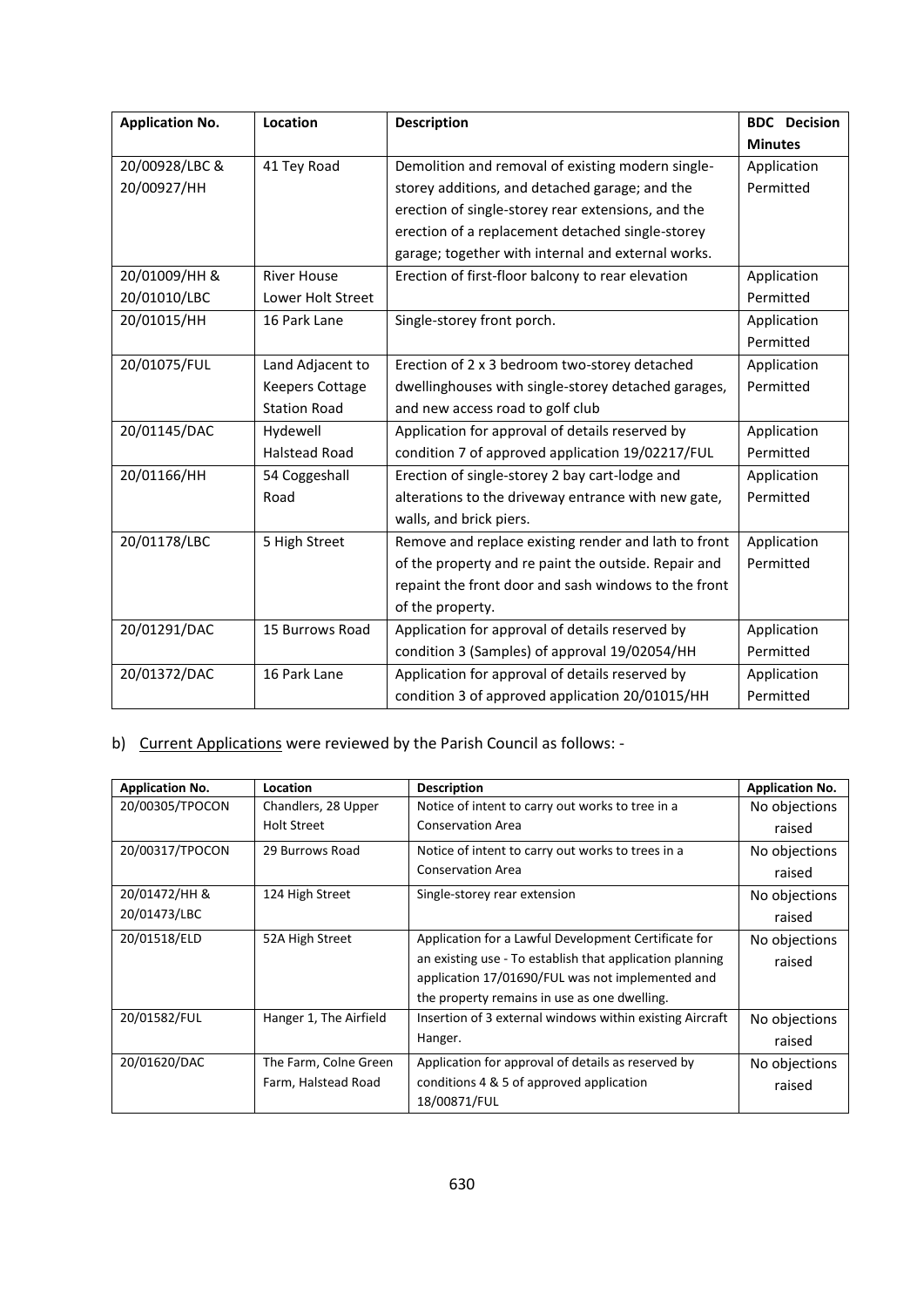| <b>Application No.</b> | Location               | <b>Description</b>                                   | <b>BDC</b> Decision |
|------------------------|------------------------|------------------------------------------------------|---------------------|
|                        |                        |                                                      | <b>Minutes</b>      |
| 20/00928/LBC &         | 41 Tey Road            | Demolition and removal of existing modern single-    | Application         |
| 20/00927/HH            |                        | storey additions, and detached garage; and the       | Permitted           |
|                        |                        | erection of single-storey rear extensions, and the   |                     |
|                        |                        | erection of a replacement detached single-storey     |                     |
|                        |                        | garage; together with internal and external works.   |                     |
| 20/01009/HH &          | <b>River House</b>     | Erection of first-floor balcony to rear elevation    | Application         |
| 20/01010/LBC           | Lower Holt Street      |                                                      | Permitted           |
| 20/01015/HH            | 16 Park Lane           | Single-storey front porch.                           | Application         |
|                        |                        |                                                      | Permitted           |
| 20/01075/FUL           | Land Adjacent to       | Erection of 2 x 3 bedroom two-storey detached        | Application         |
|                        | <b>Keepers Cottage</b> | dwellinghouses with single-storey detached garages,  | Permitted           |
|                        | <b>Station Road</b>    | and new access road to golf club                     |                     |
| 20/01145/DAC           | Hydewell               | Application for approval of details reserved by      | Application         |
|                        | Halstead Road          | condition 7 of approved application 19/02217/FUL     | Permitted           |
| 20/01166/HH            | 54 Coggeshall          | Erection of single-storey 2 bay cart-lodge and       | Application         |
|                        | Road                   | alterations to the driveway entrance with new gate,  | Permitted           |
|                        |                        | walls, and brick piers.                              |                     |
| 20/01178/LBC           | 5 High Street          | Remove and replace existing render and lath to front | Application         |
|                        |                        | of the property and re paint the outside. Repair and | Permitted           |
|                        |                        | repaint the front door and sash windows to the front |                     |
|                        |                        | of the property.                                     |                     |
| 20/01291/DAC           | 15 Burrows Road        | Application for approval of details reserved by      | Application         |
|                        |                        | condition 3 (Samples) of approval 19/02054/HH        | Permitted           |
| 20/01372/DAC           | 16 Park Lane           | Application for approval of details reserved by      | Application         |
|                        |                        | condition 3 of approved application 20/01015/HH      | Permitted           |

# b) Current Applications were reviewed by the Parish Council as follows: -

| <b>Application No.</b> | <b>Location</b>        | <b>Description</b>                                       | <b>Application No.</b> |
|------------------------|------------------------|----------------------------------------------------------|------------------------|
| 20/00305/TPOCON        | Chandlers, 28 Upper    | Notice of intent to carry out works to tree in a         | No objections          |
|                        | <b>Holt Street</b>     | <b>Conservation Area</b>                                 | raised                 |
| 20/00317/TPOCON        | 29 Burrows Road        | Notice of intent to carry out works to trees in a        | No objections          |
|                        |                        | <b>Conservation Area</b>                                 | raised                 |
| 20/01472/HH &          | 124 High Street        | Single-storey rear extension                             | No objections          |
| 20/01473/LBC           |                        |                                                          | raised                 |
| 20/01518/ELD           | 52A High Street        | Application for a Lawful Development Certificate for     | No objections          |
|                        |                        | an existing use - To establish that application planning | raised                 |
|                        |                        | application 17/01690/FUL was not implemented and         |                        |
|                        |                        | the property remains in use as one dwelling.             |                        |
| 20/01582/FUL           | Hanger 1, The Airfield | Insertion of 3 external windows within existing Aircraft | No objections          |
|                        |                        | Hanger.                                                  | raised                 |
| 20/01620/DAC           | The Farm, Colne Green  | Application for approval of details as reserved by       | No objections          |
|                        | Farm, Halstead Road    | conditions 4 & 5 of approved application                 | raised                 |
|                        |                        | 18/00871/FUL                                             |                        |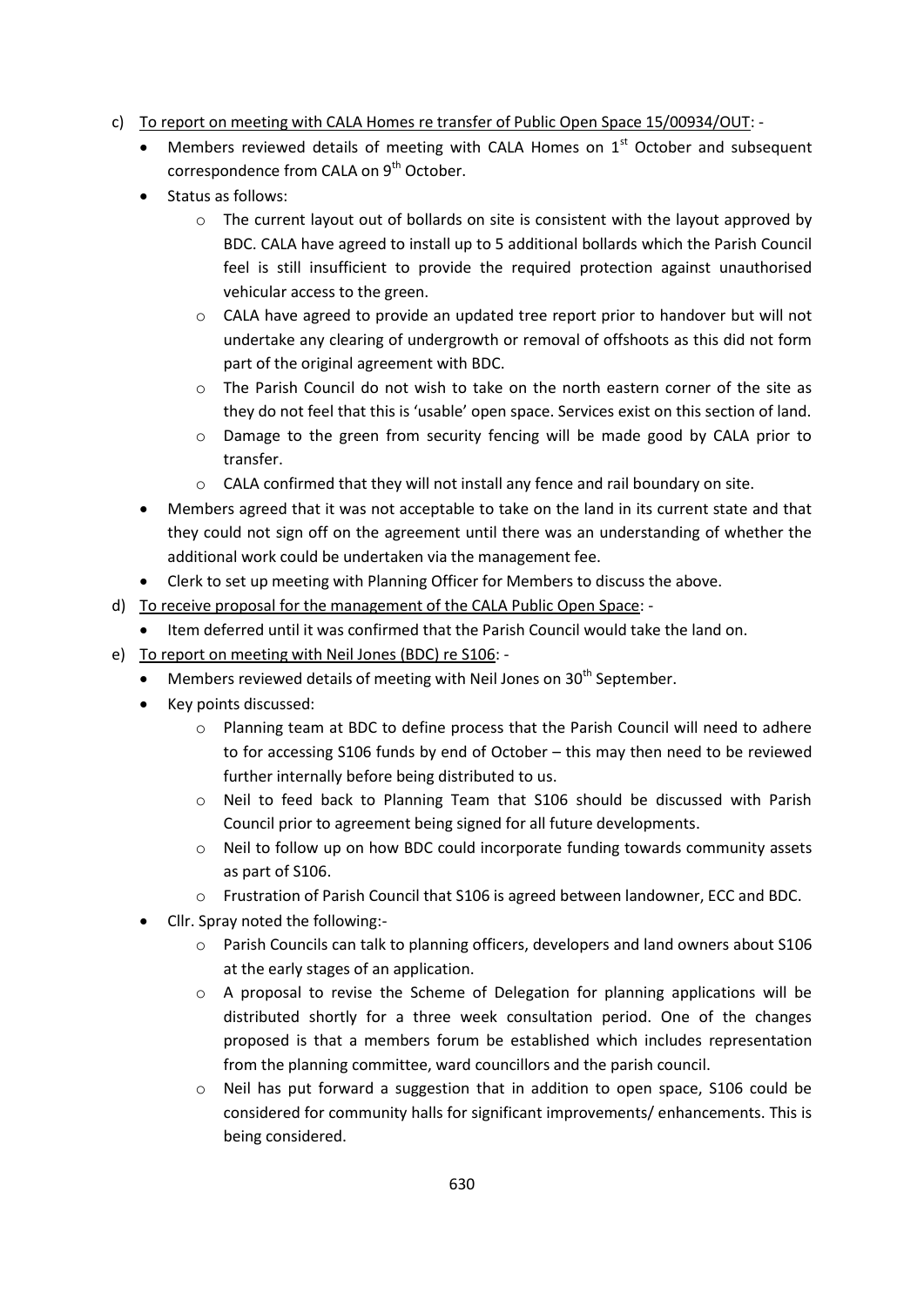- c) To report on meeting with CALA Homes re transfer of Public Open Space 15/00934/OUT:
	- Members reviewed details of meeting with CALA Homes on  $1<sup>st</sup>$  October and subsequent correspondence from CALA on 9<sup>th</sup> October.
	- Status as follows:
		- o The current layout out of bollards on site is consistent with the layout approved by BDC. CALA have agreed to install up to 5 additional bollards which the Parish Council feel is still insufficient to provide the required protection against unauthorised vehicular access to the green.
		- $\circ$  CALA have agreed to provide an updated tree report prior to handover but will not undertake any clearing of undergrowth or removal of offshoots as this did not form part of the original agreement with BDC.
		- $\circ$  The Parish Council do not wish to take on the north eastern corner of the site as they do not feel that this is 'usable' open space. Services exist on this section of land.
		- o Damage to the green from security fencing will be made good by CALA prior to transfer.
		- o CALA confirmed that they will not install any fence and rail boundary on site.
	- Members agreed that it was not acceptable to take on the land in its current state and that they could not sign off on the agreement until there was an understanding of whether the additional work could be undertaken via the management fee.
	- Clerk to set up meeting with Planning Officer for Members to discuss the above.
- d) To receive proposal for the management of the CALA Public Open Space:
	- Item deferred until it was confirmed that the Parish Council would take the land on.
- e) To report on meeting with Neil Jones (BDC) re S106:
	- $\bullet$  Members reviewed details of meeting with Neil Jones on 30<sup>th</sup> September.
	- Key points discussed:
		- o Planning team at BDC to define process that the Parish Council will need to adhere to for accessing S106 funds by end of October – this may then need to be reviewed further internally before being distributed to us.
		- o Neil to feed back to Planning Team that S106 should be discussed with Parish Council prior to agreement being signed for all future developments.
		- o Neil to follow up on how BDC could incorporate funding towards community assets as part of S106.
		- o Frustration of Parish Council that S106 is agreed between landowner, ECC and BDC.
	- Cllr. Spray noted the following:-
		- $\circ$  Parish Councils can talk to planning officers, developers and land owners about S106 at the early stages of an application.
		- o A proposal to revise the Scheme of Delegation for planning applications will be distributed shortly for a three week consultation period. One of the changes proposed is that a members forum be established which includes representation from the planning committee, ward councillors and the parish council.
		- $\circ$  Neil has put forward a suggestion that in addition to open space, S106 could be considered for community halls for significant improvements/ enhancements. This is being considered.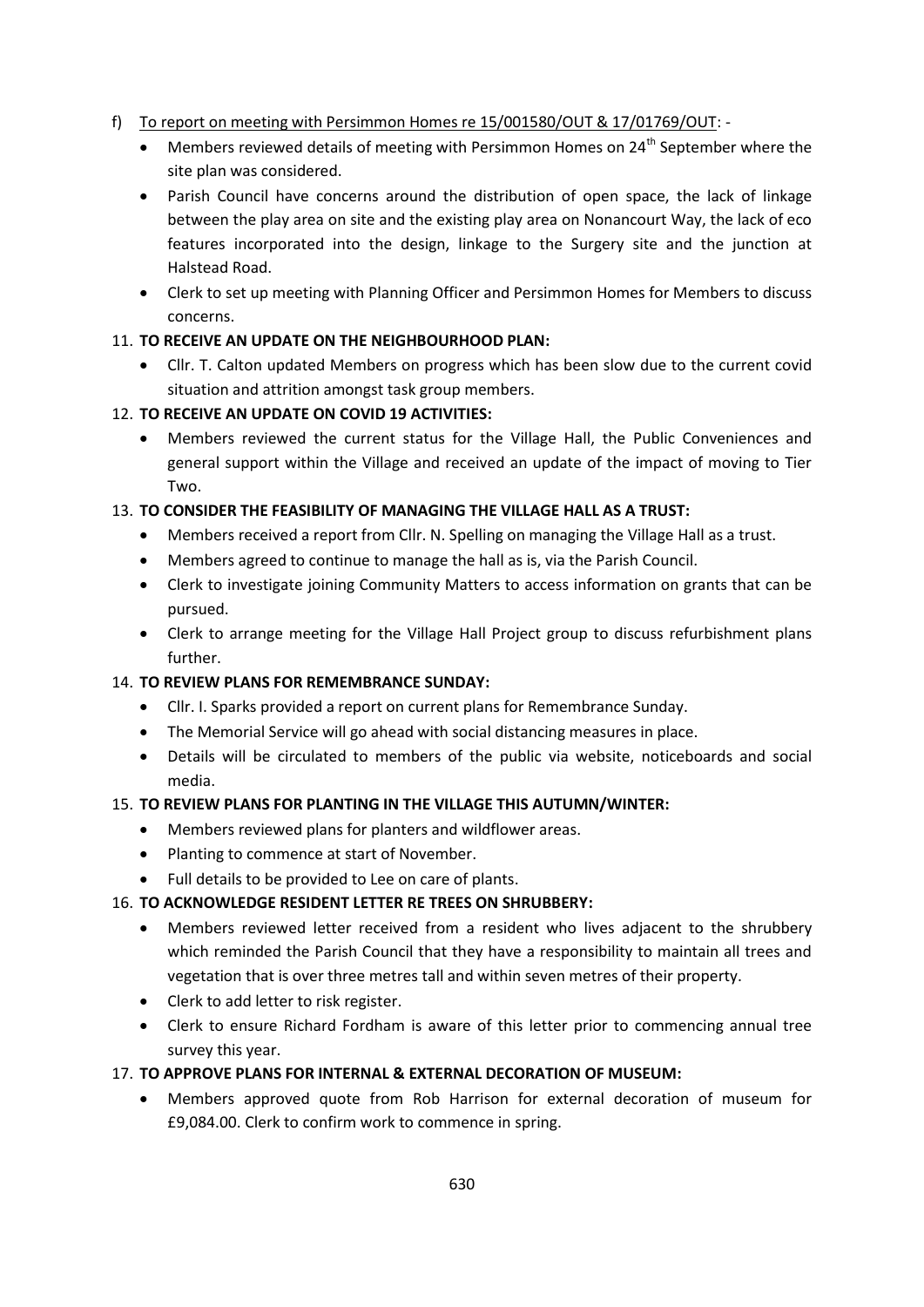### f) To report on meeting with Persimmon Homes re 15/001580/OUT & 17/01769/OUT: -

- $\bullet$  Members reviewed details of meeting with Persimmon Homes on 24<sup>th</sup> September where the site plan was considered.
- Parish Council have concerns around the distribution of open space, the lack of linkage between the play area on site and the existing play area on Nonancourt Way, the lack of eco features incorporated into the design, linkage to the Surgery site and the junction at Halstead Road.
- Clerk to set up meeting with Planning Officer and Persimmon Homes for Members to discuss concerns.

### 11. **TO RECEIVE AN UPDATE ON THE NEIGHBOURHOOD PLAN:**

 Cllr. T. Calton updated Members on progress which has been slow due to the current covid situation and attrition amongst task group members.

### 12. **TO RECEIVE AN UPDATE ON COVID 19 ACTIVITIES:**

 Members reviewed the current status for the Village Hall, the Public Conveniences and general support within the Village and received an update of the impact of moving to Tier Two.

### 13. **TO CONSIDER THE FEASIBILITY OF MANAGING THE VILLAGE HALL AS A TRUST:**

- Members received a report from Cllr. N. Spelling on managing the Village Hall as a trust.
- Members agreed to continue to manage the hall as is, via the Parish Council.
- Clerk to investigate joining Community Matters to access information on grants that can be pursued.
- Clerk to arrange meeting for the Village Hall Project group to discuss refurbishment plans further.

#### 14. **TO REVIEW PLANS FOR REMEMBRANCE SUNDAY:**

- Cllr. I. Sparks provided a report on current plans for Remembrance Sunday.
- The Memorial Service will go ahead with social distancing measures in place.
- Details will be circulated to members of the public via website, noticeboards and social media.

#### 15. **TO REVIEW PLANS FOR PLANTING IN THE VILLAGE THIS AUTUMN/WINTER:**

- Members reviewed plans for planters and wildflower areas.
- Planting to commence at start of November.
- Full details to be provided to Lee on care of plants.

#### 16. **TO ACKNOWLEDGE RESIDENT LETTER RE TREES ON SHRUBBERY:**

- Members reviewed letter received from a resident who lives adjacent to the shrubbery which reminded the Parish Council that they have a responsibility to maintain all trees and vegetation that is over three metres tall and within seven metres of their property.
- Clerk to add letter to risk register.
- Clerk to ensure Richard Fordham is aware of this letter prior to commencing annual tree survey this year.

#### 17. **TO APPROVE PLANS FOR INTERNAL & EXTERNAL DECORATION OF MUSEUM:**

 Members approved quote from Rob Harrison for external decoration of museum for £9,084.00. Clerk to confirm work to commence in spring.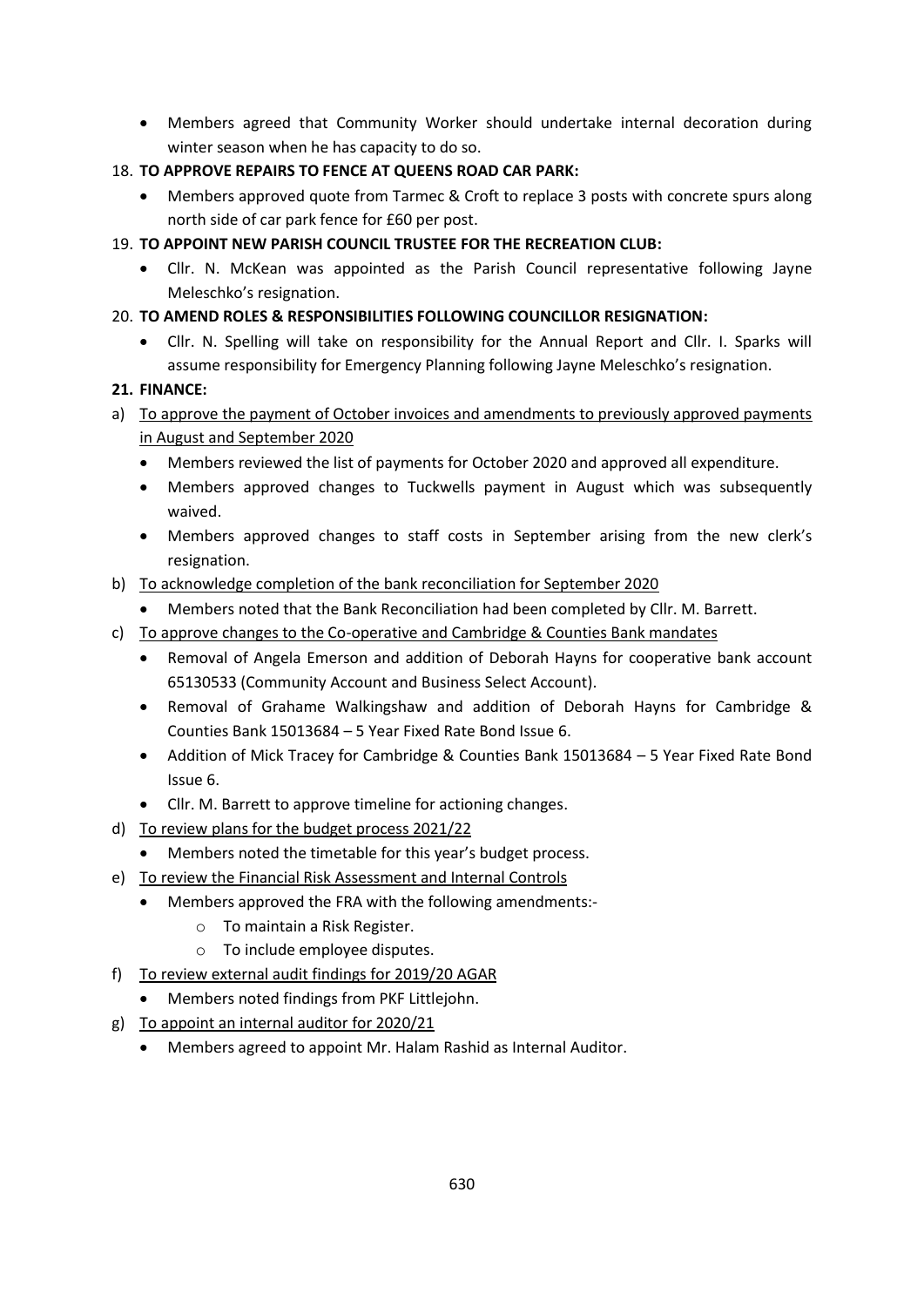Members agreed that Community Worker should undertake internal decoration during winter season when he has capacity to do so.

## 18. **TO APPROVE REPAIRS TO FENCE AT QUEENS ROAD CAR PARK:**

- Members approved quote from Tarmec & Croft to replace 3 posts with concrete spurs along north side of car park fence for £60 per post.
- 19. **TO APPOINT NEW PARISH COUNCIL TRUSTEE FOR THE RECREATION CLUB:** 
	- Cllr. N. McKean was appointed as the Parish Council representative following Jayne Meleschko's resignation.

## 20. **TO AMEND ROLES & RESPONSIBILITIES FOLLOWING COUNCILLOR RESIGNATION:**

 Cllr. N. Spelling will take on responsibility for the Annual Report and Cllr. I. Sparks will assume responsibility for Emergency Planning following Jayne Meleschko's resignation.

## **21. FINANCE:**

- a) To approve the payment of October invoices and amendments to previously approved payments in August and September 2020
	- Members reviewed the list of payments for October 2020 and approved all expenditure.
	- Members approved changes to Tuckwells payment in August which was subsequently waived.
	- Members approved changes to staff costs in September arising from the new clerk's resignation.
- b) To acknowledge completion of the bank reconciliation for September 2020
	- Members noted that the Bank Reconciliation had been completed by Cllr. M. Barrett.
- c) To approve changes to the Co-operative and Cambridge & Counties Bank mandates
	- Removal of Angela Emerson and addition of Deborah Hayns for cooperative bank account 65130533 (Community Account and Business Select Account).
	- Removal of Grahame Walkingshaw and addition of Deborah Hayns for Cambridge & Counties Bank 15013684 – 5 Year Fixed Rate Bond Issue 6.
	- Addition of Mick Tracey for Cambridge & Counties Bank 15013684 5 Year Fixed Rate Bond Issue 6.
	- Cllr. M. Barrett to approve timeline for actioning changes.
- d) To review plans for the budget process 2021/22
	- Members noted the timetable for this year's budget process.
- e) To review the Financial Risk Assessment and Internal Controls
	- Members approved the FRA with the following amendments:
		- o To maintain a Risk Register.
		- o To include employee disputes.
- f) To review external audit findings for 2019/20 AGAR
	- Members noted findings from PKF Littlejohn.
- g) To appoint an internal auditor for 2020/21
	- Members agreed to appoint Mr. Halam Rashid as Internal Auditor.